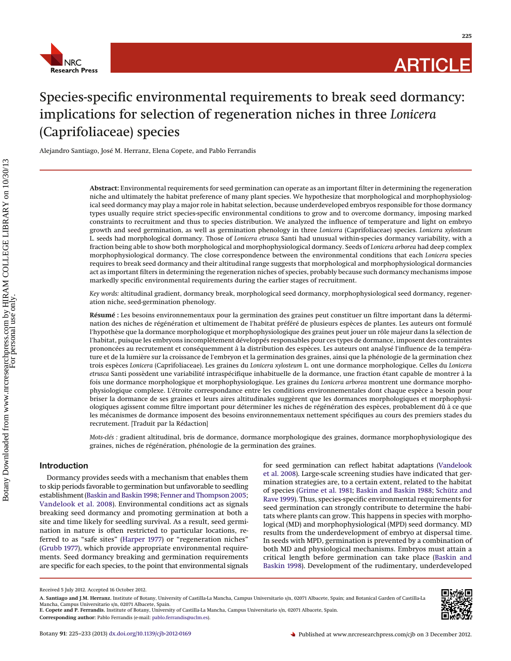

**225**

# Species-specific environmental requirements to break seed dormancy: implications for selection of regeneration niches in three *Lonicera* (Caprifoliaceae) species

Alejandro Santiago, José M. Herranz, Elena Copete, and Pablo Ferrandis

**Abstract:** Environmental requirements for seed germination can operate as an important filter in determining the regeneration niche and ultimately the habitat preference of many plant species. We hypothesize that morphological and morphophysiological seed dormancy may play a major role in habitat selection, because underdeveloped embryos responsible for those dormancy types usually require strict species-specific environmental conditions to grow and to overcome dormancy, imposing marked constraints to recruitment and thus to species distribution. We analyzed the influence of temperature and light on embryo growth and seed germination, as well as germination phenology in three *Lonicera* (Caprifoliaceae) species. *Lonicera xylosteum* L. seeds had morphological dormancy. Those of *Lonicera etrusca* Santi had unusual within-species dormancy variability, with a fraction being able to show both morphological and morphophysiological dormancy. Seeds of *Lonicera arborea* had deep complex morphophysiological dormancy. The close correspondence between the environmental conditions that each *Lonicera* species requires to break seed dormancy and their altitudinal range suggests that morphological and morphophysiological dormancies act as important filters in determining the regeneration niches of species, probably because such dormancy mechanisms impose markedly specific environmental requirements during the earlier stages of recruitment.

*Key words:* altitudinal gradient, dormancy break, morphological seed dormancy, morphophysiological seed dormancy, regeneration niche, seed-germination phenology.

**Résumé :** Les besoins environnementaux pour la germination des graines peut constituer un filtre important dans la détermination des niches de régénération et ultimement de l'habitat préféré de plusieurs espèces de plantes. Les auteurs ont formulé l'hypothèse que la dormance morphologique et morphophysiologique des graines peut jouer un rôle majeur dans la sélection de l'habitat, puisque les embryons incomplètement développés responsables pour ces types de dormance, imposent des contraintes prononcées au recrutement et conséquemment a` la distribution des espèces. Les auteurs ont analysé l'influence de la température et de la lumière sur la croissance de l'embryon et la germination des graines, ainsi que la phénologie de la germination chez trois espèces *Lonicera* (Caprifoliaceae). Les graines du *Lonicera xylosteum* L. ont une dormance morphologique. Celles du *Lonicera etrusca* Santi possèdent une variabilité intraspécifique inhabituelle de la dormance, une fraction étant capable de montrer a` la fois une dormance morphologique et morphophysiologique. Les graines du *Lonicera arborea* montrent une dormance morphophysiologique complexe. L'étroite correspondance entre les conditions environnementales dont chaque espèce a besoin pour briser la dormance de ses graines et leurs aires altitudinales suggèrent que les dormances morphologiques et morphophysiologiques agissent comme filtre important pour déterminer les niches de régénération des espèces, probablement dû a` ce que les mécanismes de dormance imposent des besoins environnementaux nettement spécifiques au cours des premiers stades du recrutement. [Traduit par la Rédaction]

*Mots-clés :* gradient altitudinal, bris de dormance, dormance morphologique des graines, dormance morphophysiologique des graines, niches de régénération, phénologie de la germination des graines.

## **Introduction**

Dormancy provides seeds with a mechanism that enables them to skip periods favorable to germination but unfavorable to seedling establishment [\(Baskin and Baskin 1998;](#page-7-0) [Fenner and Thompson2005;](#page-7-1) [Vandelook et al. 2008\)](#page-8-0). Environmental conditions act as signals breaking seed dormancy and promoting germination at both a site and time likely for seedling survival. As a result, seed germination in nature is often restricted to particular locations, referred to as "safe sites" [\(Harper 1977\)](#page-7-2) or "regeneration niches" [\(Grubb 1977\)](#page-7-3), which provide appropriate environmental requirements. Seed dormancy breaking and germination requirements are specific for each species, to the point that environmental signals for seed germination can reflect habitat adaptations [\(Vandelook](#page-8-0) [et al. 2008\)](#page-8-0). Large-scale screening studies have indicated that germination strategies are, to a certain extent, related to the habitat of species [\(Grime et al. 1981;](#page-7-4) [Baskin and Baskin 1988;](#page-7-5) [Schütz and](#page-8-1) [Rave 1999\)](#page-8-1). Thus, species-specific environmental requirements for seed germination can strongly contribute to determine the habitats where plants can grow. This happens in species with morphological (MD) and morphophysiological (MPD) seed dormancy. MD results from the underdevelopment of embryo at dispersal time. In seeds with MPD, germination is prevented by a combination of both MD and physiological mechanisms. Embryos must attain a critical length before germination can take place [\(Baskin and](#page-7-0) [Baskin 1998\)](#page-7-0). Development of the rudimentary, underdeveloped



Received 5 July 2012. Accepted 16 October 2012.

**A. Santiago and J.M. Herranz**. Institute of Botany, University of Castilla-La Mancha, Campus Universitario s/n, 02071 Albacete, Spain; and Botanical Garden of Castilla-La<br>Mancha, Campus Universitario s/n, 02071 Albacete, **E. Copete and P. Ferrandis.** Institute of Botany, University of Castilla-La Mancha, Campus Universitario s/n, 02071 Albacete, Spain.

**Corresponding author:** Pablo Ferrandis (e-mail: [pablo.ferrandis@uclm.es\)](mailto:pablo.ferrandis@uclm.es).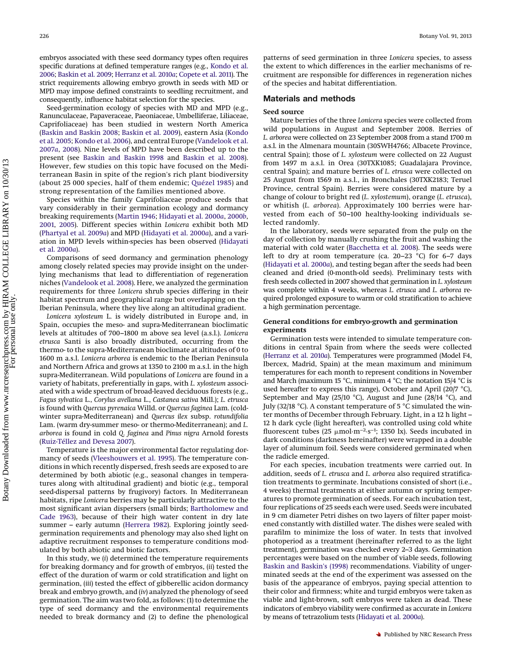embryos associated with these seed dormancy types often requires specific durations at defined temperature ranges (e.g., [Kondo et al.](#page-7-6) [2006;](#page-7-6) [Baskin et al. 2009;](#page-7-7) [Herranz et al. 2010](#page-7-8)*a*; [Copete et al. 2011\)](#page-7-9). The strict requirements allowing embryo growth in seeds with MD or

consequently, influence habitat selection for the species. Seed-germination ecology of species with MD and MPD (e.g., Ranunculaceae, Papaveraceae, Paeoniaceae, Umbelliferae, Liliaceae, Caprifoliaceae) has been studied in western North America [\(Baskin and Baskin 2008;](#page-7-10) [Baskin et al. 2009\)](#page-7-7), eastern Asia [\(Kondo](#page-7-11) [et al. 2005;](#page-7-11) [Kondo et al. 2006\)](#page-7-6), and central Europe [\(Vandelook et al.](#page-8-2) [2007](#page-8-2)*a*, [2008\)](#page-8-0). Nine levels of MPD have been described up to the present (see [Baskin and Baskin 1998](#page-7-0) and [Baskin et al. 2008\)](#page-7-12). However, few studies on this topic have focused on the Mediterranean Basin in spite of the region's rich plant biodiversity (about 25 000 species, half of them endemic; [Quézel 1985\)](#page-7-13) and strong representation of the families mentioned above.

MPD may impose defined constraints to seedling recruitment, and

Species within the family Caprifoliaceae produce seeds that vary considerably in their germination ecology and dormancy breaking requirements [\(Martin 1946;](#page-7-14) [Hidayati et al. 2000](#page-7-15)*a*, [2000](#page-7-16)*b*, [2001,](#page-7-17) [2005\)](#page-7-18). Different species within *Lonicera* exhibit both MD [\(Phartyal et al. 2009](#page-7-19)*a*) and MPD [\(Hidayati et al. 2000](#page-7-15)*a*), and a variation in MPD levels within-species has been observed [\(Hidayati](#page-7-15) [et al. 2000](#page-7-15)*a*).

Comparisons of seed dormancy and germination phenology among closely related species may provide insight on the underlying mechanisms that lead to differentiation of regeneration niches [\(Vandelook et al. 2008\)](#page-8-0). Here, we analyzed the germination requirements for three *Lonicera* shrub species differing in their habitat spectrum and geographical range but overlapping on the Iberian Peninsula, where they live along an altitudinal gradient.

*Lonicera xylosteum* L. is widely distributed in Europe and, in Spain, occupies the meso- and supra-Mediterranean bioclimatic levels at altitudes of 700–1800 m above sea level (a.s.l.). *Lonicera etrusca* Santi is also broadly distributed, occurring from the thermo- to the supra-Mediterranean bioclimate at altitudes of 0 to 1600 m a.s.l. *Lonicera arborea* is endemic to the Iberian Peninsula and Northern Africa and grows at 1350 to 2100 m a.s.l. in the high supra-Mediterranean. Wild populations of *Lonicera* are found in a variety of habitats, preferentially in gaps, with *L. xylosteum* associated with a wide spectrum of broad-leaved deciduous forests (e.g., *Fagus sylvatica* L., *Corylus avellana* L., *Castanea sativa* Mill.); *L. etrusca* is found with *Quercus pyrenaica* Willd. or *Quercus faginea* Lam. (coldwinter supra-Mediterranean) and *Quercus ilex* subsp. *rotundifolia* Lam. (warm dry-summer meso- or thermo-Mediterranean); and *L. arborea* is found in cold *Q. faginea* and *Pinus nigra* Arnold forests [\(Ruiz-Téllez and Devesa 2007\)](#page-7-20).

Temperature is the major environmental factor regulating dormancy of seeds [\(Vleeshouwers et al. 1995\)](#page-8-3). The temperature conditions in which recently dispersed, fresh seeds are exposed to are determined by both abiotic (e.g., seasonal changes in temperatures along with altitudinal gradient) and biotic (e.g., temporal seed-dispersal patterns by frugivory) factors. In Mediterranean habitats, ripe *Lonicera* berries may be particularly attractive to the most significant avian dispersers (small birds; [Bartholomew and](#page-7-21) [Cade 1963\)](#page-7-21), because of their high water content in dry late summer – early autumn [\(Herrera 1982\)](#page-7-22). Exploring jointly seedgermination requirements and phenology may also shed light on adaptive recruitment responses to temperature conditions modulated by both abiotic and biotic factors.

In this study, we (*i*) determined the temperature requirements for breaking dormancy and for growth of embryos, (*ii*) tested the effect of the duration of warm or cold stratification and light on germination, (*iii*) tested the effect of gibberellic acidon dormancy break and embryo growth, and (*iv*) analyzed the phenology of seed germination. The aim was two fold, as follows: (1) to determine the type of seed dormancy and the environmental requirements needed to break dormancy and (2) to define the phenological patterns of seed germination in three *Lonicera* species, to assess the extent to which differences in the earlier mechanisms of recruitment are responsible for differences in regeneration niches of the species and habitat differentiation.

#### **Materials and methods**

#### **Seed source**

Mature berries of the three *Lonicera* species were collected from wild populations in August and September 2008. Berries of *L. arborea* were collected on 23 September 2008 from a stand 1700 m a.s.l. in the Almenara mountain (30SWH4766; Albacete Province, central Spain); those of *L. xylosteum* were collected on 22 August from 1497 m a.s.l. in Orea (30TXK1085; Guadalajara Province, central Spain); and mature berries of *L. etrusca* were collected on 25 August from 1569 m a.s.l., in Bronchales (30TXK2183; Teruel Province, central Spain). Berries were considered mature by a change of colour to bright red (*L. xylostemum*), orange (*L. etrusca*), or whitish (*L. arborea*). Approximately 100 berries were harvested from each of 50–100 healthy-looking individuals selected randomly.

In the laboratory, seeds were separated from the pulp on the day of collection by manually crushing the fruit and washing the material with cold water [\(Bacchetta et al. 2008\)](#page-7-23). The seeds were left to dry at room temperature (ca. 20–23 °C) for 6–7 days [\(Hidayati et al. 2000](#page-7-15)*a*), and testing began after the seeds had been cleaned and dried (0-month-old seeds). Preliminary tests with fresh seeds collected in 2007 showed that germination in *L. xylosteum* was complete within 4 weeks, whereas *L. etrusca* and *L. arborea* required prolonged exposure to warm or cold stratification to achieve a high germination percentage.

## **General conditions for embryo-growth and germination experiments**

Germination tests were intended to simulate temperature conditions in central Spain from where the seeds were collected [\(Herranz et al. 2010](#page-7-8)*a*). Temperatures were programmed (Model F4, Ibercex, Madrid, Spain) at the mean maximum and minimum temperatures for each month to represent conditions in November and March (maximum 15 °C, minimum 4 °C; the notation 15/4 °C is used hereafter to express this range), October and April (20/7 °C), September and May (25/10 °C), August and June (28/14 °C), and July (32/18 °C). A constant temperature of 5 °C simulated the winter months of December through February. Light, in a 12 h light – 12 h dark cycle (light hereafter), was controlled using cold white fluorescent tubes (25  $\mu$ mol·m<sup>-2</sup>·s<sup>-1</sup>; 1350 lx). Seeds incubated in dark conditions (darkness hereinafter) were wrapped in a double layer of aluminum foil. Seeds were considered germinated when the radicle emerged.

For each species, incubation treatments were carried out. In addition, seeds of *L. etrusca* and *L. arborea* also required stratification treatments to germinate. Incubations consisted of short (i.e., 4 weeks) thermal treatments at either autumn or spring temperatures to promote germination of seeds. For each incubation test, four replications of 25 seeds each were used. Seeds were incubated in 9 cm diameter Petri dishes on two layers of filter paper moistened constantly with distilled water. The dishes were sealed with parafilm to minimize the loss of water. In tests that involved photoperiod as a treatment (hereinafter referred to as the light treatment), germination was checked every 2–3 days. Germination percentages were based on the number of viable seeds, following [Baskin and Baskin's \(1998\)](#page-7-0) recommendations. Viability of ungerminated seeds at the end of the experiment was assessed on the basis of the appearance of embryos, paying special attention to their color and firmness; white and turgid embryos were taken as viable and light-brown, soft embryos were taken as dead. These indicators of embryo viability were confirmed as accurate in *Lonicera* by means of tetrazolium tests [\(Hidayati et al. 2000](#page-7-15)*a*).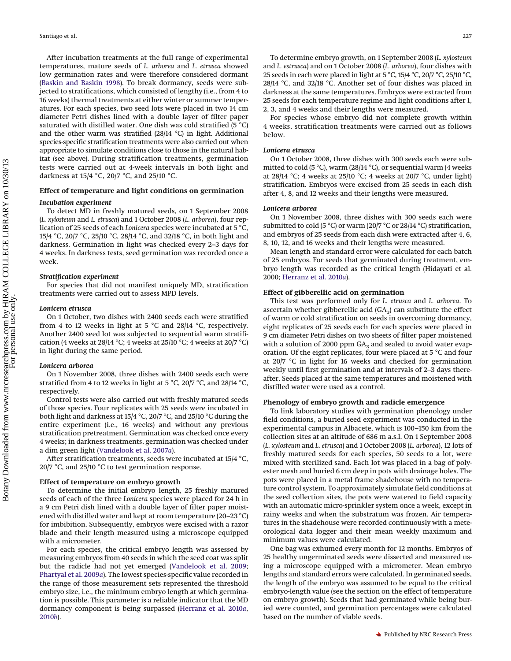After incubation treatments at the full range of experimental temperatures, mature seeds of *L. arborea* and *L. etrusca* showed low germination rates and were therefore considered dormant [\(Baskin and Baskin 1998\)](#page-7-0). To break dormancy, seeds were subjected to stratifications, which consisted of lengthy (i.e., from 4 to 16 weeks) thermal treatments at either winter or summer temperatures. For each species, two seed lots were placed in two 14 cm diameter Petri dishes lined with a double layer of filter paper saturated with distilled water. One dish was cold stratified (5 °C) and the other warm was stratified (28/14 °C) in light. Additional species-specific stratification treatments were also carried out when appropriate to simulate conditions close to those in the natural habitat (see above). During stratification treatments, germination tests were carried out at 4-week intervals in both light and darkness at 15/4 °C, 20/7 °C, and 25/10 °C.

## **Effect of temperature and light conditions on germination**

#### *Incubation experiment*

To detect MD in freshly matured seeds, on 1 September 2008 (*L. xylosteum* and *L. etrusca*) and 1 October 2008 (*L. arborea*), four replication of 25 seeds of each *Lonicera* species were incubated at 5 °C, 15/4 °C, 20/7 °C, 25/10 °C, 28/14 °C, and 32/18 °C, in both light and darkness. Germination in light was checked every 2–3 days for 4 weeks. In darkness tests, seed germination was recorded once a week.

#### *Stratification experiment*

For species that did not manifest uniquely MD, stratification treatments were carried out to assess MPD levels.

### *Lonicera etrusca*

On 1 October, two dishes with 2400 seeds each were stratified from 4 to 12 weeks in light at 5 °C and 28/14 °C, respectively. Another 2400 seed lot was subjected to sequential warm stratification (4 weeks at 28/14 °C; 4 weeks at 25/10 °C; 4 weeks at 20/7 °C) in light during the same period.

## *Lonicera arborea*

On 1 November 2008, three dishes with 2400 seeds each were stratified from 4 to 12 weeks in light at 5 °C, 20/7 °C, and 28/14 °C, respectively.

Control tests were also carried out with freshly matured seeds of those species. Four replicates with 25 seeds were incubated in both light and darkness at 15/4 °C, 20/7 °C, and 25/10 °C during the entire experiment (i.e., 16 weeks) and without any previous stratification pretreatment. Germination was checked once every 4 weeks; in darkness treatments, germination was checked under a dim green light [\(Vandelook et al. 2007](#page-8-2)*a*).

After stratification treatments, seeds were incubated at 15/4 °C, 20/7 °C, and 25/10 °C to test germination response.

#### **Effect of temperature on embryo growth**

To determine the initial embryo length, 25 freshly matured seeds of each of the three *Lonicera* species were placed for 24 h in a 9 cm Petri dish lined with a double layer of filter paper moistened with distilled water and kept at room temperature (20–23 °C) for imbibition. Subsequently, embryos were excised with a razor blade and their length measured using a microscope equipped with a micrometer.

For each species, the critical embryo length was assessed by measuring embryos from 40 seeds in which the seed coat was split but the radicle had not yet emerged [\(Vandelook et al. 2009;](#page-8-4) [Phartyal et al. 2009](#page-7-19)*a*). The lowest species-specific value recorded in the range of those measurement sets represented the threshold embryo size, i.e., the minimum embryo length at which germination is possible. This parameter is a reliable indicator that the MD dormancy component is being surpassed [\(Herranz et al. 2010](#page-7-8)*a*, [2010](#page-7-24)*b*).

To determine embryo growth, on 1 September 2008 (*L. xylosteum* and *L. estrusca*) and on 1 October 2008 (*L. arborea*), four dishes with 25 seeds in each were placed in light at 5 °C, 15/4 °C, 20/7 °C, 25/10 °C, 28/14 °C, and 32/18 °C. Another set of four dishes was placed in darkness at the same temperatures. Embryos were extracted from 25 seeds for each temperature regime and light conditions after 1, 2, 3, and 4 weeks and their lengths were measured.

For species whose embryo did not complete growth within 4 weeks, stratification treatments were carried out as follows below.

### *Lonicera etrusca*

On 1 October 2008, three dishes with 300 seeds each were submitted to cold (5 °C), warm (28/14 °C), or sequential warm (4 weeks at 28/14 °C; 4 weeks at 25/10 °C; 4 weeks at 20/7 °C, under light) stratification. Embryos were excised from 25 seeds in each dish after 4, 8, and 12 weeks and their lengths were measured.

#### *Lonicera arborea*

On 1 November 2008, three dishes with 300 seeds each were submitted to cold (5 °C) or warm (20/7 °C or 28/14 °C) stratification, and embryos of 25 seeds from each dish were extracted after 4, 6, 8, 10, 12, and 16 weeks and their lengths were measured.

Mean length and standard error were calculated for each batch of 25 embryos. For seeds that germinated during treatment, embryo length was recorded as the critical length (Hidayati et al. 2000; [Herranz et al. 2010](#page-7-8)*a*).

## **Effect of gibberellic acid on germination**

This test was performed only for *L. etrusca* and *L. arborea*. To ascertain whether gibberellic acid  $(GA_3)$  can substitute the effect of warm or cold stratification on seeds in overcoming dormancy, eight replicates of 25 seeds each for each species were placed in 9 cm diameter Petri dishes on two sheets of filter paper moistened with a solution of 2000 ppm  $GA<sub>3</sub>$  and sealed to avoid water evaporation. Of the eight replicates, four were placed at 5 °C and four at 20/7 °C in light for 16 weeks and checked for germination weekly until first germination and at intervals of 2–3 days thereafter. Seeds placed at the same temperatures and moistened with distilled water were used as a control.

### **Phenology of embryo growth and radicle emergence**

To link laboratory studies with germination phenology under field conditions, a buried seed experiment was conducted in the experimental campus in Albacete, which is 100–150 km from the collection sites at an altitude of 686 m a.s.l. On 1 September 2008 (*L. xylosteum* and *L. etrusca*) and 1 October 2008 (*L. arborea*), 12 lots of freshly matured seeds for each species, 50 seeds to a lot, were mixed with sterilized sand. Each lot was placed in a bag of polyester mesh and buried 6 cm deep in pots with drainage holes. The pots were placed in a metal frame shadehouse with no temperature control system. To approximately simulate field conditions at the seed collection sites, the pots were watered to field capacity with an automatic micro-sprinkler system once a week, except in rainy weeks and when the substratum was frozen. Air temperatures in the shadehouse were recorded continuously with a meteorological data logger and their mean weekly maximum and minimum values were calculated.

One bag was exhumed every month for 12 months. Embryos of 25 healthy ungerminated seeds were dissected and measured using a microscope equipped with a micrometer. Mean embryo lengths and standard errors were calculated. In germinated seeds, the length of the embryo was assumed to be equal to the critical embryo-length value (see the section on the effect of temperature on embryo growth). Seeds that had germinated while being buried were counted, and germination percentages were calculated based on the number of viable seeds.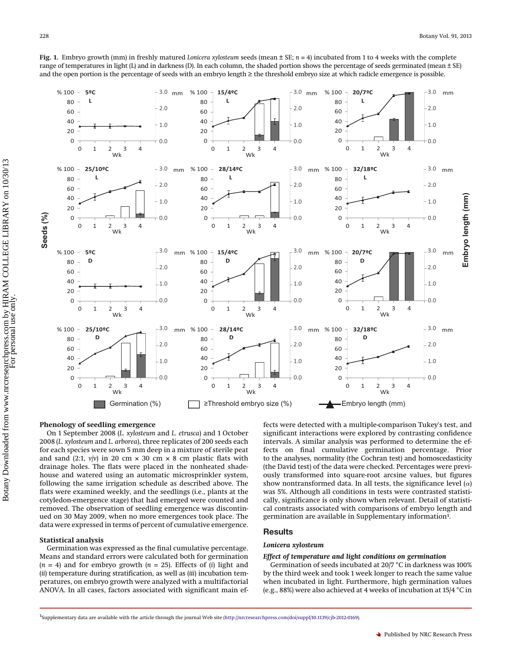<span id="page-3-0"></span>**Fig. 1.** Embryo growth (mm) in freshly matured *Lonicera xylosteum* seeds (mean ± SE; *n* = 4) incubated from 1 to 4 weeks with the complete range of temperatures in light (L) and in darkness (D). In each column, the shaded portion shows the percentage of seeds germinated (mean  $\pm$  SE) and the open portion is the percentage of seeds with an embryo length ≥ the threshold embryo size at which radicle emergence is possible.



## **Phenology of seedling emergence**

On 1 September 2008 (*L. xylosteum* and *L. etrusca*) and 1 October 2008 (*L. xylosteum* and *L. arborea*), three replicates of 200 seeds each for each species were sown 5 mm deep in a mixture of sterile peat and sand (2:1,  $v/v$ ) in 20 cm  $\times$  30 cm  $\times$  8 cm plastic flats with drainage holes. The flats were placed in the nonheated shadehouse and watered using an automatic microsprinkler system, following the same irrigation schedule as described above. The flats were examined weekly, and the seedlings (i.e., plants at the cotyledon-emergence stage) that had emerged were counted and removed. The observation of seedling emergence was discontinued on 30 May 2009, when no more emergences took place. The data were expressed in terms of percent of cumulative emergence.

## **Statistical analysis**

Germination was expressed as the final cumulative percentage. Means and standard errors were calculated both for germination  $(n = 4)$  and for embryo growth  $(n = 25)$ . Effects of  $(i)$  light and (*ii*) temperature during stratification, as well as (*iii*) incubation temperatures, on embryo growth were analyzed with a multifactorial ANOVA. In all cases, factors associated with significant main ef-

fects were detected with a multiple-comparison Tukey's test, and significant interactions were explored by contrasting confidence intervals. A similar analysis was performed to determine the effects on final cumulative germination percentage. Prior to the analyses, normality (the Cochran test) and homoscedasticity (the David test) of the data were checked. Percentages were previously transformed into square-root arcsine values, but figures show nontransformed data. In all tests, the significance level  $(\alpha)$ was 5%. Although all conditions in tests were contrasted statistically, significance is only shown when relevant. Detail of statistical contrasts associated with comparisons of embryo length and germination are available in Supplementary information<sup>1</sup>.

## **Results**

## *Lonicera xylosteum*

#### *Effect of temperature and light conditions on germination*

Germination of seeds incubated at 20/7 °C in darkness was 100% by the third week and took 1 week longer to reach the same value when incubated in light. Furthermore, high germination values (e.g., 88%) were also achieved at 4 weeks of incubation at 15/4 °C in

<sup>&</sup>lt;sup>1</sup>Supplementary data are available with the article through the journal Web site [\(http://nrcresearchpress.com/doi/suppl/10.1139/cjb-2012-0169\)](http://nrcresearchpress.com/doi/suppl/10.1139/cjb-2012-0169).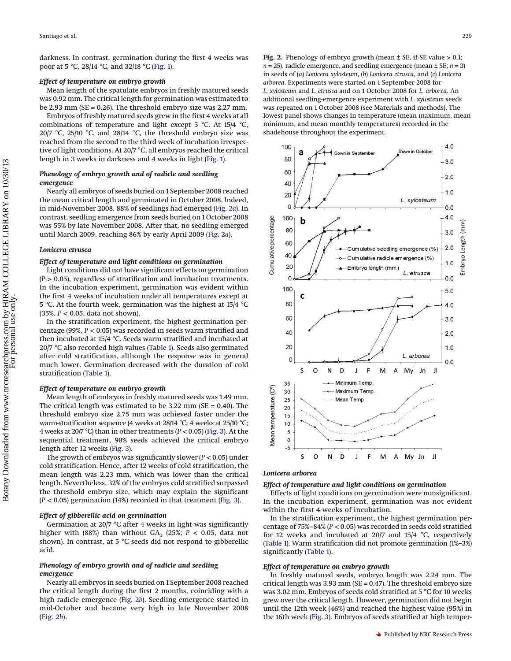darkness. In contrast, germination during the first 4 weeks was poor at 5 °C, 28/14 °C, and 32/18 °C [\(Fig. 1\)](#page-3-0).

## *Effect of temperature on embryo growth*

Mean length of the spatulate embryos in freshly matured seeds was 0.92 mm. The critical length for germination was estimated to be 2.93 mm ( $SE = 0.26$ ). The threshold embryo size was 2.27 mm.

Embryos of freshly matured seeds grew in the first 4 weeks at all combinations of temperature and light except 5 °C. At 15/4 °C, 20/7 °C, 25/10 °C, and 28/14 °C, the threshold embryo size was reached from the second to the third week of incubation irrespective of light conditions. At 20/7 °C, all embryos reached the critical length in 3 weeks in darkness and 4 weeks in light [\(Fig. 1\)](#page-3-0).

## *Phenology of embryo growth and of radicle and seedling emergence*

Nearly all embryos of seeds buried on 1 September 2008 reached the mean critical length and germinated in October 2008. Indeed, in mid-November 2008, 88% of seedlings had emerged [\(Fig. 2](#page-4-0)*a*). In contrast, seedling emergence from seeds buried on 1 October 2008 was 55% by late November 2008. After that, no seedling emerged until March 2009, reaching 86% by early April 2009 [\(Fig. 2](#page-4-0)*a*).

#### *Lonicera etrusca*

## *Effect of temperature and light conditions on germination*

Light conditions did not have significant effects on germination (*P* > 0.05), regardless of stratification and incubation treatments. In the incubation experiment, germination was evident within the first 4 weeks of incubation under all temperatures except at 5 ºC. At the fourth week, germination was the highest at 15/4 °C (35%, *P <* 0.05, data not shown).

In the stratification experiment, the highest germination percentage (99%, *P* < 0.05) was recorded in seeds warm stratified and then incubated at 15/4 °C. Seeds warm stratified and incubated at 20/7 °C also recorded high values [\(Table 1\)](#page-5-0). Seeds also germinated after cold stratification, although the response was in general much lower. Germination decreased with the duration of cold stratification [\(Table 1\)](#page-5-0).

#### *Effect of temperature on embryo growth*

Mean length of embryos in freshly matured seeds was 1.49 mm. The critical length was estimated to be  $3.22$  mm (SE = 0.40). The threshold embryo size 2.75 mm was achieved faster under the warm-stratification sequence (4 weeks at 28/14 °C; 4 weeks at 25/10 °C; 4 weeks at 20/7 °C) than in other treatments (*P* < 0.05) [\(Fig. 3\)](#page-5-1). At the sequential treatment, 90% seeds achieved the critical embryo length after 12 weeks [\(Fig. 3\)](#page-5-1).

The growth of embryos was significantly slower (*P <* 0.05) under cold stratification. Hence, after 12 weeks of cold stratification, the mean length was 2.23 mm, which was lower than the critical length. Nevertheless, 32% of the embryos cold stratified surpassed the threshold embryo size, which may explain the significant (*P <* 0.05) germination (14%) recorded in that treatment [\(Fig. 3\)](#page-5-1).

#### *Effect of gibberellic acid on germination*

Germination at 20/7 °C after 4 weeks in light was significantly higher with (88%) than without  $GA_3$  (25%;  $P < 0.05$ , data not shown). In contrast, at 5 °C seeds did not respond to gibberellic acid.

## *Phenology of embryo growth and of radicle and seedling emergence*

Nearly all embryos in seeds buried on 1 September 2008 reached the critical length during the first 2 months, coinciding with a high radicle emergence [\(Fig. 2](#page-4-0)*b*). Seedling emergence started in mid-October and became very high in late November 2008 [\(Fig. 2](#page-4-0)*b*).

<span id="page-4-0"></span>**Fig. 2.** Phenology of embryo growth (mean  $\pm$  SE, if SE value  $> 0.1$ ;  $n = 25$ ), radicle emergence, and seedling emergence (mean  $\pm$  SE;  $n = 3$ ) in seeds of (*a*) *Lonicera xylosteum*, (*b*) *Lonicera etrusca*, and (*c*) *Lonicera arborea*. Experiments were started on 1 September 2008 for *L. xylosteum* and *L. etrusca* and on 1 October 2008 for *L. arborea*. An additional seedling-emergence experiment with *L. xylosteum* seeds was repeated on 1 October 2008 (see Materials and methods). The lowest panel shows changes in temperature (mean maximum, mean minimum, and mean monthly temperatures) recorded in the shadehouse throughout the experiment.



#### *Lonicera arborea*

# *Effect of temperature and light conditions on germination*

Effects of light conditions on germination were nonsignificant. In the incubation experiment, germination was not evident within the first 4 weeks of incubation.

In the stratification experiment, the highest germination percentage of 75%–84% (*P <* 0.05) was recorded in seeds cold stratified for 12 weeks and incubated at 20/7 and 15/4 °C, respectively [\(Table 1\)](#page-5-0). Warm stratification did not promote germination (1%–3%) significantly [\(Table 1\)](#page-5-0).

## *Effect of temperature on embryo growth*

In freshly matured seeds, embryo length was 2.24 mm. The critical length was 3.93 mm ( $SE = 0.47$ ). The threshold embryo size was 3.02 mm. Embryos of seeds cold stratified at 5 °C for 10 weeks grew over the critical length. However, germination did not begin until the 12th week (46%) and reached the highest value (95%) in the 16th week [\(Fig. 3\)](#page-5-1). Embryos of seeds stratified at high temper-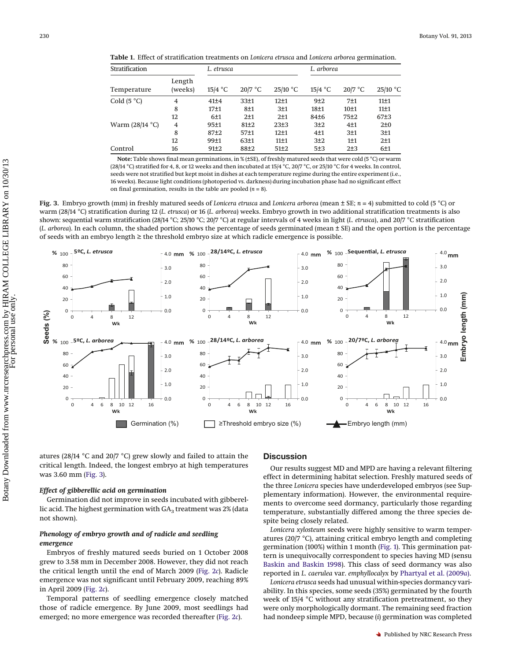<span id="page-5-0"></span>

|  | Table 1. Effect of stratification treatments on Lonicera etrusca and Lonicera arborea germination. |  |  |  |  |  |
|--|----------------------------------------------------------------------------------------------------|--|--|--|--|--|
|--|----------------------------------------------------------------------------------------------------|--|--|--|--|--|

| Stratification            |                   | L. etrusca       |                  |            | L. arborea       |           |            |
|---------------------------|-------------------|------------------|------------------|------------|------------------|-----------|------------|
| Temperature               | Length<br>(weeks) | $15/4$ °C        | $20/7$ °C        | $25/10$ °C | $15/4$ °C        | $20/7$ °C | $25/10$ °C |
| Cold $(5 °C)$             | 4                 | 41±4             | 33±1             | $12+1$     | 9±2              | 7±1       | 11±1       |
|                           | 8                 | 17 <sub>±1</sub> | 8±1              | 3±1        | 18 <sub>±1</sub> | 10±1      | 11±1       |
|                           | 12                | 6±1              | 2±1              | 2±1        | 84±6             | 75±2      | 67±3       |
| Warm $(28/14 \text{ °C})$ | 4                 | 95±1             | 81±2             | 23±3       | 3±2              | 4±1       | 2±0        |
|                           | 8                 | $87+2$           | 57 <sub>±1</sub> | $12+1$     | 4 <sub>1</sub>   | 3±1       | 3±1        |
|                           | 12                | 99±1             | 63±1             | 11±1       | 3±2              | 1±1       | 2±1        |
| Control                   | 16                | 91±2             | $88+2$           | $51\pm2$   | 5±3              | 2±3       | 6±1        |

**Note:** Table shows final mean germinations, in % (±SE), of freshly matured seeds that were cold (5 °C) or warm (28/14 °C) stratified for 4, 8, or 12 weeks and then incubated at 15/4 °C, 20/7 °C, or 25/10 °C for 4 weeks. In control, seeds were not stratified but kept moist in dishes at each temperature regime during the entire experiment (i.e., 16 weeks). Because light conditions (photoperiod vs. darkness) during incubation phase had no significant effect on final germination, results in the table are pooled  $(n = 8)$ .

<span id="page-5-1"></span>**Fig. 3.** Embryo growth (mm) in freshly matured seeds of *Lonicera etrusca* and *Lonicera arborea* (mean ± SE; *n* = 4) submitted to cold (5 °C) or warm (28/14 °C) stratification during 12 (*L. etrusca*) or 16 (*L. arborea*) weeks. Embryo growth in two additional stratification treatments is also shown: sequential warm stratification (28/14 °C; 25/10 °C; 20/7 °C) at regular intervals of 4 weeks in light (*L. etrusca*), and 20/7 °C stratification (*L. arborea*). In each column, the shaded portion shows the percentage of seeds germinated (mean ± SE) and the open portion is the percentage of seeds with an embryo length ≥ the threshold embryo size at which radicle emergence is possible.



atures (28/14 °C and 20/7 °C) grew slowly and failed to attain the critical length. Indeed, the longest embryo at high temperatures was 3.60 mm [\(Fig. 3\)](#page-5-1).

#### *Effect of gibberellic acid on germination*

Germination did not improve in seeds incubated with gibberellic acid. The highest germination with  $GA<sub>3</sub>$  treatment was 2% (data not shown).

## *Phenology of embryo growth and of radicle and seedling emergence*

Embryos of freshly matured seeds buried on 1 October 2008 grew to 3.58 mm in December 2008. However, they did not reach the critical length until the end of March 2009 [\(Fig. 2](#page-4-0)*c*). Radicle emergence was not significant until February 2009, reaching 89% in April 2009 [\(Fig. 2](#page-4-0)*c*).

Temporal patterns of seedling emergence closely matched those of radicle emergence. By June 2009, most seedlings had emerged; no more emergence was recorded thereafter [\(Fig. 2](#page-4-0)*c*).

## **Discussion**

Our results suggest MD and MPD are having a relevant filtering effect in determining habitat selection. Freshly matured seeds of the three *Lonicera* species have underdeveloped embryos (see Supplementary information). However, the environmental requirements to overcome seed dormancy, particularly those regarding temperature, substantially differed among the three species despite being closely related.

*Lonicera xylosteum* seeds were highly sensitive to warm temperatures (20/7 °C), attaining critical embryo length and completing germination (100%) within 1 month [\(Fig. 1\)](#page-3-0). This germination pattern is unequivocally correspondent to species having MD (sensu [Baskin and Baskin 1998\)](#page-7-0). This class of seed dormancy was also reported in *L. caerulea* var. *emphyllocalyx* by [Phartyal et al. \(2009](#page-7-19)*a*).

*Lonicera etrusca* seeds had unusual within-species dormancy variability. In this species, some seeds (35%) germinated by the fourth week of 15/4 °C without any stratification pretreatment, so they were only morphologically dormant. The remaining seed fraction had nondeep simple MPD, because (*i*) germination was completed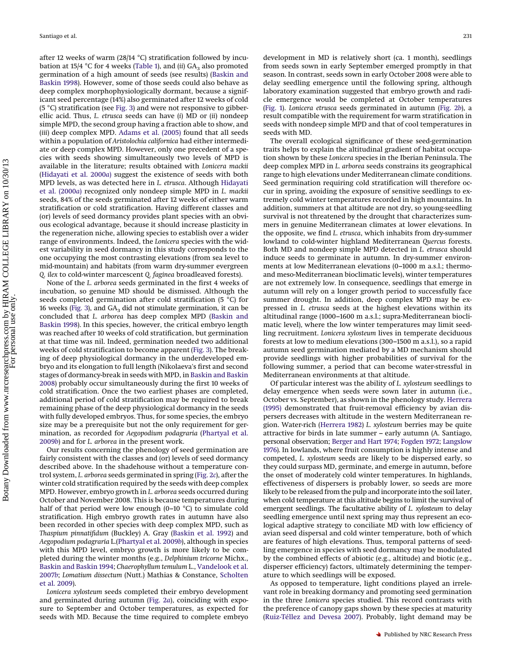after 12 weeks of warm (28/14 °C) stratification followed by incubation at 15/4  $\degree$ C for 4 weeks [\(Table 1\)](#page-5-0), and (*ii*) GA<sub>3</sub> also promoted germination of a high amount of seeds (see results) [\(Baskin and](#page-7-0) [Baskin 1998\)](#page-7-0). However, some of those seeds could also behave as deep complex morphophysiologically dormant, because a significant seed percentage (14%) also germinated after 12 weeks of cold (5 °C) stratification (see [Fig. 3\)](#page-5-1) and were not responsive to gibberellic acid. Thus, *L. etrusca* seeds can have (*i*) MD or (*ii*) nondeep simple MPD, the second group having a fraction able to show, and (*iii*) deep complex MPD. [Adams et al. \(2005\)](#page-7-25) found that all seeds within a population of *Aristolochia californica* had either intermediate or deep complex MPD. However, only one precedent of a species with seeds showing simultaneously two levels of MPD is available in the literature; results obtained with *Lonicera mackii* [\(Hidayati et al. 2000](#page-7-15)*a*) suggest the existence of seeds with both MPD levels, as was detected here in *L. etrusca*. Although [Hidayati](#page-7-15) [et al. \(2000](#page-7-15)*a*) recognized only nondeep simple MPD in *L. mackii* seeds, 84% of the seeds germinated after 12 weeks of either warm stratification or cold stratification. Having different classes and (or) levels of seed dormancy provides plant species with an obvious ecological advantage, because it should increase plasticity in the regeneration niche, allowing species to establish over a wider range of environments. Indeed, the *Lonicera* species with the widest variability in seed dormancy in this study corresponds to the one occupying the most contrasting elevations (from sea level to mid-mountain) and habitats (from warm dry-summer evergreen *Q. ilex* to cold-winter marcescent *Q. faginea* broadleaved forests).

None of the *L. arborea* seeds germinated in the first 4 weeks of incubation, so genuine MD should be dismissed. Although the seeds completed germination after cold stratification (5 °C) for 16 weeks [\(Fig. 3\)](#page-5-1), and  $GA<sub>3</sub>$  did not stimulate germination, it can be concluded that *L. arborea* has deep complex MPD [\(Baskin and](#page-7-0) [Baskin 1998\)](#page-7-0). In this species, however, the critical embryo length was reached after 10 weeks of cold stratification, but germination at that time was nil. Indeed, germination needed two additional weeks of cold stratification to become apparent [\(Fig. 3\)](#page-5-1). The breaking of deep physiological dormancy in the underdeveloped embryo and its elongation to full length (Nikolaeva's first and second stages of dormancy-break in seeds with MPD, in [Baskin and Baskin](#page-7-10) [2008\)](#page-7-10) probably occur simultaneously during the first 10 weeks of cold stratification. Once the two earliest phases are completed, additional period of cold stratification may be required to break remaining phase of the deep physiological dormancy in the seeds with fully developed embryos. Thus, for some species, the embryo size may be a prerequisite but not the only requirement for germination, as recorded for *Aegopodium podagraria* [\(Phartyal et al.](#page-7-26) [2009](#page-7-26)*b*) and for *L. arborea* in the present work.

Our results concerning the phenology of seed germination are fairly consistent with the classes and (or) levels of seed dormancy described above. In the shadehouse without a temperature control system, *L. arborea* seeds germinated in spring [\(Fig. 2](#page-4-0)*c*), after the winter cold stratification required by the seeds with deep complex MPD. However, embryo growth in *L. arborea* seeds occurred during October and November 2008. This is because temperatures during half of that period were low enough (0–10 °C) to simulate cold stratification. High embryo growth rates in autumn have also been recorded in other species with deep complex MPD, such as *Thaspium pinnatifidum* (Buckley) A. Gray [\(Baskin et al. 1992\)](#page-7-27) and *Aegopodium podagraria* L.[\(Phartyal et al. 2009](#page-7-26)*b*), although in species with this MPD level, embryo growth is more likely to be completed during the winter months (e.g., *Delphinium tricorne* Michx., [Baskin and Baskin 1994;](#page-7-28) *Chaerophyllum temulum* L., [Vandelook et al.](#page-8-5) [2007](#page-8-5)*b*; *Lomatium dissectum* (Nutt.) Mathias & Constance, [Scholten](#page-8-6) [et al. 2009\)](#page-8-6).

*Lonicera xylosteum* seeds completed their embryo development and germinated during autumn [\(Fig. 2](#page-4-0)*a*), coinciding with exposure to September and October temperatures, as expected for seeds with MD. Because the time required to complete embryo development in MD is relatively short (ca. 1 month), seedlings from seeds sown in early September emerged promptly in that season. In contrast, seeds sown in early October 2008 were able to delay seedling emergence until the following spring, although laboratory examination suggested that embryo growth and radicle emergence would be completed at October temperatures [\(Fig. 1\)](#page-3-0). *Lonicera etrusca* seeds germinated in autumn [\(Fig. 2](#page-4-0)*b*), a result compatible with the requirement for warm stratification in seeds with nondeep simple MPD and that of cool temperatures in seeds with MD.

The overall ecological significance of these seed-germination traits helps to explain the altitudinal gradient of habitat occupation shown by these *Lonicera* species in the Iberian Peninsula. The deep complex MPD in *L. arborea* seeds constrains its geographical range to high elevations under Mediterranean climate conditions. Seed germination requiring cold stratification will therefore occur in spring, avoiding the exposure of sensitive seedlings to extremely cold winter temperatures recorded in high mountains. In addition, summers at that altitude are not dry, so young-seedling survival is not threatened by the drought that characterizes summers in genuine Mediterranean climates at lower elevations. In the opposite, we find *L. etrusca*, which inhabits from dry-summer lowland to cold-winter highland Mediterranean *Quercus* forests. Both MD and nondeep simple MPD detected in *L. etrusca* should induce seeds to germinate in autumn. In dry-summer environments at low Mediterranean elevations (0–1000 m a.s.l.; thermoand meso-Mediterranean bioclimatic levels), winter temperatures are not extremely low. In consequence, seedlings that emerge in autumn will rely on a longer growth period to successfully face summer drought. In addition, deep complex MPD may be expressed in *L. etrusca* seeds at the highest elevations within its altitudinal range (1000–1600 m a.s.l.; supra-Mediterranean bioclimatic level), where the low winter temperatures may limit seedling recruitment. *Lonicera xylosteum* lives in temperate deciduous forests at low to medium elevations (300–1500 m a.s.l.), so a rapid autumn seed germination mediated by a MD mechanism should provide seedlings with higher probabilities of survival for the following summer, a period that can become water-stressful in Mediterranean environments at that altitude.

Of particular interest was the ability of *L. xylosteum* seedlings to delay emergence when seeds were sown later in autumn (i.e., October vs. September), as shown in the phenology study. [Herrera](#page-7-29) [\(1995\)](#page-7-29) demonstrated that fruit-removal efficiency by avian dispersers decreases with altitude in the western Mediterranean region. Water-rich [\(Herrera 1982\)](#page-7-22) *L. xylosteum* berries may be quite attractive for birds in late summer – early autumn (A. Santiago, personal observation; [Berger and Hart 1974;](#page-7-30) [Fogden 1972;](#page-7-31) [Langslow](#page-7-32) [1976\)](#page-7-32). In lowlands, where fruit consumption is highly intense and competed, *L. xylosteum* seeds are likely to be dispersed early, so they could surpass MD, germinate, and emerge in autumn, before the onset of moderately cold winter temperatures. In highlands, effectiveness of dispersers is probably lower, so seeds are more likely to be released from the pulp and incorporate into the soil later, when cold temperature at this altitude begins to limit the survival of emergent seedlings. The facultative ability of *L. xylosteum* to delay seedling emergence until next spring may thus represent an ecological adaptive strategy to conciliate MD with low efficiency of avian seed dispersal and cold winter temperature, both of which are features of high elevations. Thus, temporal patterns of seedling emergence in species with seed dormancy may be modulated by the combined effects of abiotic (e.g., altitude) and biotic (e.g., disperser efficiency) factors, ultimately determining the temperature to which seedlings will be exposed.

As opposed to temperature, light conditions played an irrelevant role in breaking dormancy and promoting seed germination in the three *Lonicera* species studied. This record contrasts with the preference of canopy gaps shown by these species at maturity [\(Ruiz-Téllez and Devesa 2007\)](#page-7-20). Probably, light demand may be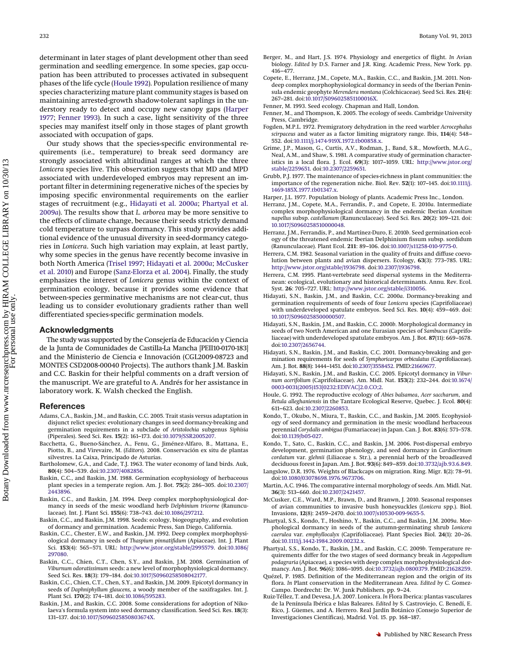<span id="page-7-36"></span>determinant in later stages of plant development other than seed germination and seedling emergence. In some species, gap occupation has been attributed to processes activated in subsequent phases of the life cycle [\(Houle 1992\)](#page-7-33). Population resilience of many species characterizing mature plant community stages is based on maintaining arrested-growth shadow-tolerant saplings in the understory ready to detect and occupy new canopy gaps [\(Harper](#page-7-2) [1977;](#page-7-2) [Fenner 1993\)](#page-7-34). In such a case, light sensitivity of the three species may manifest itself only in those stages of plant growth associated with occupation of gaps.

Our study shows that the species-specific environmental requirements (i.e., temperature) to break seed dormancy are strongly associated with altitudinal ranges at which the three *Lonicera* species live. This observation suggests that MD and MPD associated with underdeveloped embryos may represent an important filter in determining regenerative niches of the species by imposing specific environmental requirements on the earlier stages of recruitment (e.g., [Hidayati et al. 2000](#page-7-15)*a*; [Phartyal et al.](#page-7-19) [2009](#page-7-19)*a*). The results show that *L. arborea* may be more sensitive to the effects of climate change, because their seeds strictly demand cold temperature to surpass dormancy. This study provides additional evidence of the unusual diversity in seed-dormancy categories in *Lonicera*. Such high variation may explain, at least partly, why some species in the genus have recently become invasive in both North America [\(Trisel 1997;](#page-8-7) [Hidayati et al. 2000](#page-7-15)*a*; [McCusker](#page-7-35) [et al. 2010\)](#page-7-35) and Europe [\(Sanz-Elorza et al. 2004\)](#page-7-36). Finally, the study emphasizes the interest of *Lonicera* genus within the context of germination ecology, because it provides some evidence that between-species germinative mechanisms are not clear-cut, thus leading us to consider evolutionary gradients rather than well differentiated species-specific germination models.

## **Acknowledgments**

The study was supported by the Consejería de Educación y Ciencia de la Junta de Comunidades de Castilla-La Mancha [PEII10-0170-183] and the Ministerio de Ciencia e Innovación (CGL2009-08723 and MONTES CSD2008-00040 Projects). The authors thank J.M. Baskin and C.C. Baskin for their helpful comments on a draft version of the manuscript. We are grateful to A. Andrés for her assistance in laboratory work. K. Walsh checked the English.

## <span id="page-7-25"></span>**References**

- Adams, C.A., Baskin, J.M., and Baskin, C.C. 2005. Trait stasis versus adaptation in disjunct relict species: evolutionary changes in seed dormancy-breaking and germination requirements in a subclade of *Aristolochia* subgenus *Siphisia* (Piperales). Seed Sci. Res. **15**(2): 161–173. doi[:10.1079/SSR2005207.](http://dx.doi.org/10.1079/SSR2005207)
- <span id="page-7-23"></span>Bacchetta, G., Bueno-Sánchez, A., Fenu, G., Jiménez-Alfaro, B., Mattana, E., Piotto, B., and Virevaire, M. (*Editors*). 2008. Conservación ex situ de plantas silvestres. La Caixa, Principado de Asturias.
- <span id="page-7-21"></span>Bartholomew, G.A., and Cade, T.J. 1963. The water economy of land birds. Auk, **80**(4): 504–539. doi[:10.2307/4082856.](http://dx.doi.org/10.2307/4082856)
- <span id="page-7-5"></span>Baskin, C.C., and Baskin, J.M. 1988. Germination ecophysiology of herbaceous plant species in a temperate region. Am. J. Bot. **75**(2): 286–305. doi[:10.2307/](http://dx.doi.org/10.2307/2443896) [2443896.](http://dx.doi.org/10.2307/2443896)
- <span id="page-7-28"></span>Baskin, C.C., and Baskin, J.M. 1994. Deep complex morphophysiological dormancy in seeds of the mesic woodland herb *Delphinium tricorne* (Ranunculaceae). Int. J. Plant Sci. **155**(6): 738–743. doi[:10.1086/297212.](http://dx.doi.org/10.1086/297212)
- <span id="page-7-0"></span>Baskin, C.C., and Baskin, J.M. 1998. Seeds: ecology, biogeography, and evolution of dormancy and germination. Academic Press, San Diego, California.
- <span id="page-7-27"></span>Baskin, C.C., Chester, E.W., and Baskin, J.M. 1992. Deep complex morphophysiological dormancy in seeds of *Thaspium pinnatifidum* (Apiaceae). Int. J. Plant Sci. **153**(4): 565–571. URL: [http://www.jstor.org/stable/2995579.](http://www.jstor.org/stable/2995579) doi[:10.1086/](http://dx.doi.org/10.1086/297080) [297080.](http://dx.doi.org/10.1086/297080)
- <span id="page-7-12"></span>Baskin, C.C., Chien, C.T., Chen, S.Y., and Baskin, J.M. 2008. Germination of *Viburnum odoratissimum* seeds: a new level of morphophysiological dormancy. Seed Sci. Res. **18**(3): 179–184. doi[:10.1017/S0960258508042177.](http://dx.doi.org/10.1017/S0960258508042177)
- <span id="page-7-7"></span>Baskin, C.C., Chien, C.T., Chen, S.Y., and Baskin, J.M. 2009. Epicotyl dormancy in seeds of *Daphniphyllum glaucens,* a woody member of the saxifragales. Int. J. Plant Sci. **170**(2): 174–181. doi[:10.1086/595283.](http://dx.doi.org/10.1086/595283)
- <span id="page-7-10"></span>Baskin, J.M., and Baskin, C.C. 2008. Some considerations for adoption of Nikolaeva's formula system into seed dormancy classification. Seed Sci. Res. **18**(3): 131–137. doi[:10.1017/S096025850803674X.](http://dx.doi.org/10.1017/S096025850803674X)
- <span id="page-7-30"></span>Berger, M., and Hart, J.S. 1974. Physiology and energetics of flight. *In* Avian biology. *Edited by* D.S. Farner and J.R. King. Academic Press, New York. pp. 416–477.
- <span id="page-7-9"></span>Copete, E., Herranz, J.M., Copete, M.A., Baskin, C.C., and Baskin, J.M. 2011. Nondeep complex morphophysiological dormancy in seeds of the Iberian Peninsula endemic geophyte *Merendera montana* (Colchicaceae). Seed Sci. Res. **21**(4): 267–281. doi[:10.1017/S096025851100016X.](http://dx.doi.org/10.1017/S096025851100016X)
- <span id="page-7-34"></span>Fenner, M. 1993. Seed ecology. Chapman and Hall, London.
- <span id="page-7-1"></span>Fenner, M., and Thompson, K. 2005. The ecology of seeds. Cambridge University Press, Cambridge.
- <span id="page-7-31"></span>Fogden, M.P.L. 1972. Premigratory dehydration in the reed warbler *Acrocephalus scirpaceus* and water as a factor limiting migratory range. Ibis, **114**(4): 548– 552. doi[:10.1111/j.1474-919X.1972.tb00858.x.](http://dx.doi.org/10.1111/j.1474-919X.1972.tb00858.x)
- <span id="page-7-4"></span>Grime, J.P., Mason, G., Curtis, A.V., Rodman, J., Band, S.R., Mowforth, M.A.G., Neal, A.M., and Shaw, S. 1981. A comparative study of germination characteristics in a local flora. J. Ecol. **69**(3): 1017–1059. URL: [http://www.jstor.org/](http://www.jstor.org/stable/2259651) [stable/2259651.](http://www.jstor.org/stable/2259651) doi[:10.2307/2259651.](http://dx.doi.org/10.2307/2259651)
- <span id="page-7-3"></span>Grubb, P.J. 1977. The maintenance of species-richness in plant communities: the importance of the regeneration niche. Biol. Rev. **52**(1): 107–145. doi[:10.1111/j.](http://dx.doi.org/10.1111/j.1469-185X.1977.tb01347.x) [1469-185X.1977.tb01347.x.](http://dx.doi.org/10.1111/j.1469-185X.1977.tb01347.x)
- <span id="page-7-2"></span>Harper, J.L. 1977. Population biology of plants. Academic Press Inc., London.
- <span id="page-7-8"></span>Herranz, J.M., Copete, M.A., Ferrandis, P., and Copete, E. 2010*a*. Intermediate complex morphophysiological dormancy in the endemic Iberian *Aconitum napellus* subsp. *castellanum* (Ranunculaceae). Seed Sci. Res. **20**(2): 109–121. doi: [10.1017/S0960258510000048.](http://dx.doi.org/10.1017/S0960258510000048)
- <span id="page-7-24"></span>Herranz, J.M., Ferrandis, P., and Martínez-Duro, E. 2010*b*. Seed germination ecology of the threatened endemic Iberian Delphinium fissum subsp. sordidum (Ranunculaceae). Plant Ecol. **211**: 89–106. doi[:10.1007/s11258-010-9775-0.](http://dx.doi.org/10.1007/s11258-010-9775-0)
- <span id="page-7-22"></span>Herrera, C.M. 1982. Seasonal variation in the quality of fruits and diffuse coevolution between plants and avian dispersers. Ecology, **63**(3): 773–785. URL: [http://www.jstor.org/stable/1936798.](http://www.jstor.org/stable/1936798) doi[:10.2307/1936798.](http://dx.doi.org/10.2307/1936798)
- <span id="page-7-29"></span>Herrera, C.M. 1995. Plant-vertebrate seed dispersal systems in the Mediterranean: ecological, evolutionary and historical determinants. Annu. Rev. Ecol. Syst. **26**: 705–727. URL: [http://www.jstor.org/stable/i310056.](http://www.jstor.org/stable/i310056)
- <span id="page-7-15"></span>Hidayati, S.N., Baskin, J.M., and Baskin, C.C. 2000*a*. Dormancy-breaking and germination requirements of seeds of four *Lonicera* species (Caprifoliaceae) with underdeveloped spatulate embryos. Seed Sci. Res. **10**(4): 459–469. doi: [10.1017/S0960258500000507.](http://dx.doi.org/10.1017/S0960258500000507)
- <span id="page-7-16"></span>Hidayati, S.N., Baskin, J.M., and Baskin, C.C. 2000*b*. Morphological dormancy in seeds of two North American and one Eurasian species of *Sambucus* (Caprifoliaceae) with underdeveloped spatulate embryos. Am. J. Bot. **87**(11): 669–1678. doi[:10.2307/2656744.](http://dx.doi.org/10.2307/2656744)
- <span id="page-7-17"></span>Hidayati, S.N., Baskin, J.M., and Baskin, C.C. 2001. Dormancy-breaking and germination requirements for seeds of *Symphoricarpos orbiculatus* (Caprifoliaceae). Am. J. Bot. **88**(8): 1444–1451. doi[:10.2307/3558452.](http://dx.doi.org/10.2307/3558452) PMID[:21669677.](http://www.ncbi.nlm.nih.gov/pubmed/21669677)
- <span id="page-7-18"></span>Hidayati, S.N., Baskin, J.M., and Baskin, C.C. 2005. Epicotyl dormancy in *Viburnum acerifolium* (Caprifoliaceae). Am. Midl. Nat. **153**(2): 232–244. doi[:10.1674/](http://dx.doi.org/10.1674/0003-0031(2005)153%5B0232%3AEDIVAC%5D2.0.CO%3B2) [0003-0031\(2005\)153\[0232:EDIVAC\]2.0.CO;2.](http://dx.doi.org/10.1674/0003-0031(2005)153%5B0232%3AEDIVAC%5D2.0.CO%3B2)
- <span id="page-7-33"></span>Houle, G. 1992. The reproductive ecology of *Abies balsamea*, *Acer saccharum*, and *Betula alleghaniensis* in the Tantare Ecological Reserve, Quebec. J. Ecol. **80**(4): 611–623. doi[:10.2307/2260853.](http://dx.doi.org/10.2307/2260853)
- <span id="page-7-11"></span>Kondo, T., Okubo, N., Miura, T., Baskin, C.C., and Baskin, J.M. 2005. Ecophysiology of seed dormancy and germination in the mesic woodland herbaceous perennial *Corydalis ambigua* (Fumariaceae) in Japan. Can. J. Bot. **83**(6): 571–578. doi[:10.1139/b05-027.](http://dx.doi.org/10.1139/b05-027)
- <span id="page-7-6"></span>Kondo, T., Sato, C., Baskin, C.C., and Baskin, J.M. 2006. Post-dispersal embryo development, germination phenology, and seed dormancy in *Cardiocrinum cordatum* var. *glehnii* (Liliaceae s. Str.), a perennial herb of the broadleaved deciduous forest in Japan. Am. J. Bot. **93**(6): 849–859. doi[:10.3732/ajb.93.6.849.](http://dx.doi.org/10.3732/ajb.93.6.849)
- <span id="page-7-32"></span>Langslow, D.R. 1976. Weights of Blackcaps on migration. Ring. Migr. **1**(2): 78–91. doi[:10.1080/03078698.1976.9673706.](http://dx.doi.org/10.1080/03078698.1976.9673706)
- <span id="page-7-14"></span>Martin, A.C. 1946. The comparative internal morphology of seeds. Am. Midl. Nat. **36**(3): 513–660. doi[:10.2307/2421457.](http://dx.doi.org/10.2307/2421457)
- <span id="page-7-35"></span>McCusker, C.E., Ward, M.P., Brawn, D., and Branwn, J. 2010. Seasonal responses of avian communities to invasive bush honeysuckles (*Lonicera* spp.). Biol. Invasions, **12**(8): 2459–2470. doi[:10.1007/s10530-009-9655-5.](http://dx.doi.org/10.1007/s10530-009-9655-5)
- <span id="page-7-19"></span>Phartyal, S.S., Kondo, T., Hoshino, Y., Baskin, C.C., and Baskin, J.M. 2009*a*. Morphological dormancy in seeds of the autumn-germinating shrub *Lonicera caerulea* var. *emphyllocalyx* (Caprifoliaceae). Plant Species Biol. **24**(1): 20–26. doi[:10.1111/j.1442-1984.2009.00232.x.](http://dx.doi.org/10.1111/j.1442-1984.2009.00232.x)
- <span id="page-7-26"></span>Phartyal, S.S., Kondo, T., Baskin, J.M., and Baskin, C.C. 2009*b*. Temperature requirements differ for the two stages of seed dormancy break in *Aegopodium podagraria* (Apiaceae)*,* a species with deep complex morphophysiological dormancy. Am. J. Bot. **96**(6): 1086–1095. doi[:10.3732/ajb.0800379.](http://dx.doi.org/10.3732/ajb.0800379) PMID[:21628259.](http://www.ncbi.nlm.nih.gov/pubmed/21628259)
- <span id="page-7-13"></span>Quézel, P. 1985. Definition of the Mediterranean region and the origin of its flora. *In* Plant conservation in the Mediterranean Area. *Edited by* C. Gomez-Campo. Dordrecht: Dr. W. Junk Publishers. pp. 9–24.
- <span id="page-7-20"></span>Ruiz-Téllez, T. and Devesa, J.A. 2007. Lonicera. *In* Flora Iberica: plantas vasculares de la Península Ibérica e Islas Baleares. *Edited by* S. Castroviejo, C. Benedí, E. Rico, J. Güemes, and A. Herrero. Real Jardín Botánico (Consejo Superior de Investigaciones Científicas), Madrid. Vol. 15. pp. 168–187.